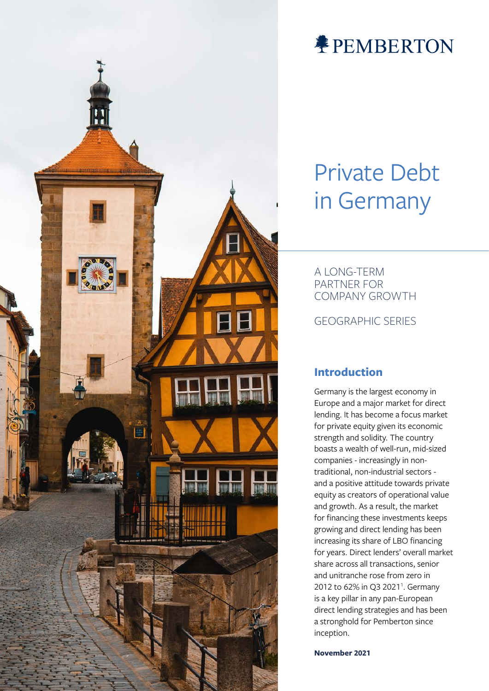

# **<br />
PEMBERTON**

# Private Debt in Germany

A LONG-TERM PARTNER FOR COMPANY GROWTH

GEOGRAPHIC SERIES

### **Introduction**

Germany is the largest economy in Europe and a major market for direct lending. It has become a focus market for private equity given its economic strength and solidity. The country boasts a wealth of well-run, mid-sized companies - increasingly in nontraditional, non-industrial sectors and a positive attitude towards private equity as creators of operational value and growth. As a result, the market for financing these investments keeps growing and direct lending has been increasing its share of LBO financing for years. Direct lenders' overall market share across all transactions, senior and unitranche rose from zero in 2012 to 62% in Q3 2021<sup>1</sup>. Germany is a key pillar in any pan-European direct lending strategies and has been a stronghold for Pemberton since inception.

**November 2021**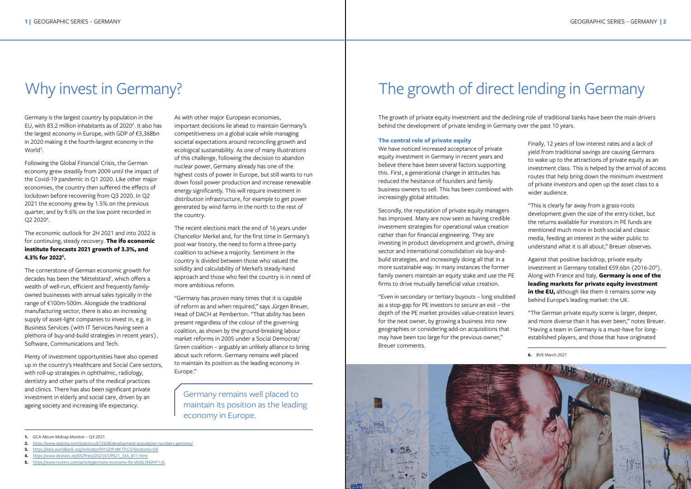Finally, 12 years of low interest rates and a lack of yield from traditional savings are causing Germans to wake up to the attractions of private equity as an investment class. This is helped by the arrival of access routes that help bring down the minimum investment of private investors and open up the asset class to a wider audience.

"This is clearly far away from a grass-roots development given the size of the entry ticket, but the returns available for investors in PE funds are mentioned much more in both social and classic media, feeding an interest in the wider public to understand what it is all about," Breuer observes.

Germany is the largest country by population in the EU, with 83.2 million inhabitants as of 2020<sup>2</sup>. It also has the largest economy in Europe, with GDP of €3,368bn in 2020 making it the fourth-largest economy in the World<sup>3</sup>.

> Against that positive backdrop, private equity investment in Germany totalled €59.6bn (2016-20 $^6$ ). Along with France and Italy, **Germany is one of the leading markets for private equity investment**  in the EU, although like them it remains some way behind Europe's leading market: the UK.

Following the Global Financial Crisis, the German economy grew steadily from 2009 until the impact of the Covid-19 pandemic in Q1 2020. Like other major economies, the country then suffered the effects of lockdown before recovering from Q3 2020. In Q2 2021 the economy grew by 1.5% on the previous quarter, and by 9.6% on the low point recorded in Q2 2020<sup>4</sup>.

> "The German private equity scene is larger, deeper, and more diverse than it has ever been," notes Breuer. "Having a team in Germany is a must-have for longestablished players, and those that have originated

- **2.** <https://www.statista.com/statistics/672608/development-population-numbers-germany/>
- **3.** [https://data.worldbank.org/indicator/NY.GDP.MKTP.CD?locations=DE](https://data.worldbank.org/indicator/NY.GDP.MKTP.CD?locations=DE
)
- **4.** [https://www.destatis.de/EN/Press/2021/07/PE21\\_365\\_811.html](https://www.destatis.de/EN/Press/2021/07/PE21_365_811.html)
- **5.** <https://www.reuters.com/article/germany-economy-ifo-idUSL5N2NY1JG>

**6.** BVK March 2021

# Why invest in Germany?

The economic outlook for 2H 2021 and into 2022 is for continuing, steady recovery. **The ifo economic institute forecasts 2021 growth of 3.3%, and 4.3% for 20225 .**

The cornerstone of German economic growth for decades has been the 'Mittelstand', which offers a wealth of well-run, efficient and frequently familyowned businesses with annual sales typically in the range of €100m-500m. Alongside the traditional manufacturing sector, there is also an increasing supply of asset-light companies to invest in, e.g. in Business Services (with IT Services having seen a plethora of buy-and-build strategies in recent years), Software, Communications and Tech.

Plenty of investment opportunities have also opened up in the country's Healthcare and Social Care sectors, with roll-up strategies in ophthalmic, radiology, dentistry and other parts of the medical practices and clinics. There has also been significant private investment in elderly and social care, driven by an ageing society and increasing life expectancy.

As with other major European economies, important decisions lie ahead to maintain Germany's competitiveness on a global scale while managing societal expectations around reconciling growth and ecological sustainability. As one of many illustrations of this challenge, following the decision to abandon nuclear power, Germany already has one of the highest costs of power in Europe, but still wants to run down fossil power production and increase renewable energy significantly. This will require investment in distribution infrastructure, for example to get power generated by wind farms in the north to the rest of the country.

The recent elections mark the end of 16 years under Chancellor Merkel and, for the first time in Germany's post-war history, the need to form a three-party coalition to achieve a majority. Sentiment in the country is divided between those who valued the solidity and calculability of Merkel's steady-hand approach and those who feel the country is in need of more ambitious reform.

"Germany has proven many times that it is capable of reform as and when required," says Jürgen Breuer, Head of DACH at Pemberton. "That ability has been present regardless of the colour of the governing coalition, as shown by the ground-breaking labour market reforms in 2005 under a Social Democrat/ Green coalition – arguably an unlikely alliance to bring about such reform. Germany remains well placed to maintain its position as the leading economy in Europe."

Germany remains well placed to maintain its position as the leading economy in Europe.

# The growth of direct lending in Germany

The growth of private equity investment and the declining role of traditional banks have been the main drivers behind the development of private lending in Germany over the past 10 years.

### **The central role of private equity**

We have noticed increased acceptance of private equity investment in Germany in recent years and believe there have been several factors supporting this. First, a generational change in attitudes has reduced the hesitance of founders and family business owners to sell. This has been combined with increasingly global attitudes.

Secondly, the reputation of private equity managers has improved. Many are now seen as having credible investment strategies for operational value creation rather than for financial engineering. They are investing in product development and growth, driving sector and international consolidation via buy-andbuild strategies, and increasingly doing all that in a more sustainable way. In many instances the former family owners maintain an equity stake and use the PE firms to drive mutually beneficial value creation.

"Even in secondary or tertiary buyouts – long snubbed as a stop-gap for PE investors to secure an exit – the depth of the PE market provides value-creation levers for the next owner, by growing a business into new geographies or considering add-on acquisitions that may have been too large for the previous owner," Breuer comments.



**<sup>1.</sup>** GCA Altium Midcap Monitor – Q3 2021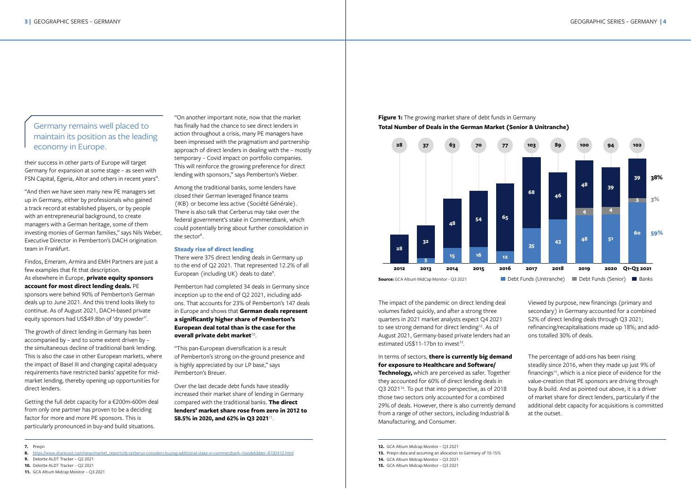The impact of the pandemic on direct lending deal volumes faded quickly, and after a strong three quarters in 2021 market analysts expect Q4 2021 to see strong demand for direct lending<sup>12</sup>. As of August 2021, Germany-based private lenders had an estimated US\$11-17bn to invest<sup>13</sup>.

In terms of sectors, **there is currently big demand for exposure to Healthcare and Software/ Technology,** which are perceived as safer. Together they accounted for 60% of direct lending deals in Q3 2021<sup>14</sup>. To put that into perspective, as of 2018 those two sectors only accounted for a combined 29% of deals. However, there is also currently demand from a range of other sectors, including Industrial & Manufacturing, and Consumer.

Viewed by purpose, new financings (primary and secondary) in Germany accounted for a combined 52% of direct lending deals through Q3 2021; refinancing/recapitalisations made up 18%; and addons totalled 30% of deals.

The percentage of add-ons has been rising steadily since 2016, when they made up just 9% of financings<sup>15</sup>, which is a nice piece of evidence for the value-creation that PE sponsors are driving through buy & build. And as pointed out above, it is a driver of market share for direct lenders, particularly if the additional debt capacity for acquisitions is committed at the outset.

their success in other parts of Europe will target Germany for expansion at some stage – as seen with FSN Capital, Egeria, Altor and others in recent years".

> Among the traditional banks, some lenders have closed their German leveraged finance teams (IKB) or become less active (Société Générale). There is also talk that Cerberus may take over the federal government's stake in Commerzbank, which could potentially bring about further consolidation in the sector $8$ .

"And then we have seen many new PE managers set up in Germany, either by professionals who gained a track record at established players, or by people with an entrepreneurial background, to create managers with a German heritage, some of them investing monies of German families," says Nils Weber, Executive Director in Pemberton's DACH origination team in Frankfurt.

> There were 375 direct lending deals in Germany up to the end of Q2 2021. That represented 12.2% of all European (including UK) deals to date<sup>9</sup>.

Pemberton had completed 34 deals in Germany since inception up to the end of Q2 2021, including addons. That accounts for 23% of Pemberton's 147 deals in Europe and shows that **German deals represent a significantly higher share of Pemberton's European deal total than is the case for the overall private debt market<sup>10</sup>.** 

Findos, Emeram, Armira and EMH Partners are just a few examples that fit that description. As elsewhere in Europe, **private equity sponsors account for most direct lending deals.** PE sponsors were behind 90% of Pemberton's German deals up to June 2021. And this trend looks likely to continue. As of August 2021, DACH-based private equity sponsors had US\$49.8bn of 'dry powder'7 .

The growth of direct lending in Germany has been accompanied by – and to some extent driven by – the simultaneous decline of traditional bank lending. This is also the case in other European markets, where the impact of Basel III and changing capital adequacy requirements have restricted banks' appetite for midmarket lending, thereby opening up opportunities for direct lenders.



Getting the full debt capacity for a €200m-600m deal from only one partner has proven to be a deciding factor for more and more PE sponsors. This is particularly pronounced in buy-and build situations.

"On another important note, now that the market has finally had the chance to see direct lenders in action throughout a crisis, many PE managers have been impressed with the pragmatism and partnership approach of direct lenders in dealing with the – mostly temporary – Covid impact on portfolio companies. This will reinforce the growing preference for direct lending with sponsors," says Pemberton's Weber.

### **Steady rise of direct lending**

"This pan-European diversification is a result of Pemberton's strong on-the-ground presence and is highly appreciated by our LP base," says Pemberton's Breuer.

Over the last decade debt funds have steadily increased their market share of lending in Germany compared with the traditional banks. **The direct lenders' market share rose from zero in 2012 to 58.5% in 2020, and 62% in Q3 2021**11.

#### **7.** Preqin

- **9.** Deloitte ALDT Tracker Q2 2021
- **10.** Deloitte ALDT Tracker Q2 2021
- **11.** GCA Altium Midcap Monitor Q3 2021

## **Figure 1:** The growing market share of debt funds in Germany

### Germany remains well placed to maintain its position as the leading economy in Europe.

**<sup>8.</sup>** [https://www.sharecast.com/news/market\\_reports/dj-cerberus-considers-buying-additional-stake-in-commerzbank--handelsblatt--8100410.html](https://www.sharecast.com/news/market_reports/dj-cerberus-considers-buying-additional-stake-in-commerzbank--handelsblatt--8100410.html
)

**<sup>12.</sup>** GCA Altium Midcap Monitor – Q3 2021

**<sup>13.</sup>** Preqin data and assuming an allocation to Germany of 10-15%

**<sup>14.</sup>** GCA Altium Midcap Monitor – Q3 2021

**<sup>15.</sup>** GCA Altium Midcap Monitor – Q3 2021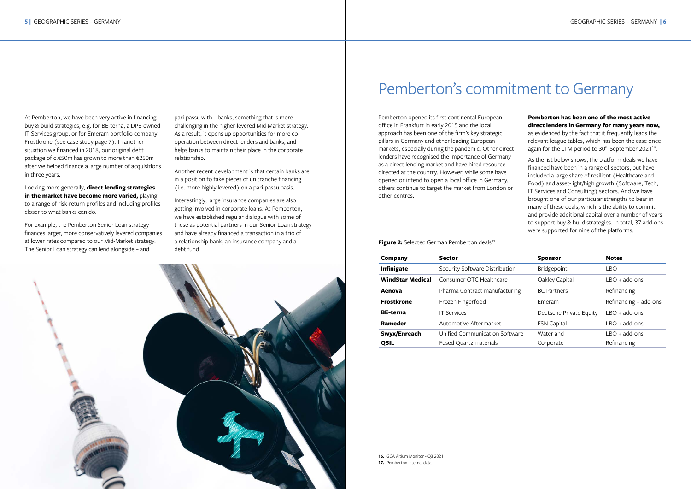# Pemberton's commitment to Germany

Pemberton opened its first continental European office in Frankfurt in early 2015 and the local approach has been one of the firm's key strategic pillars in Germany and other leading European markets, especially during the pandemic. Other direct lenders have recognised the importance of Germany as a direct lending market and have hired resource directed at the country. However, while some have opened or intend to open a local office in Germany, others continue to target the market from London or other centres.

Figure 2: Selected German Pemberton deals<sup>17</sup>

as evidenced by the fact that it frequently leads the relevant league tables, which has been the case once again for the LTM period to 30<sup>th</sup> September 2021<sup>16</sup>.

### **Pemberton has been one of the most active direct lenders in Germany for many years now,**

As the list below shows, the platform deals we have financed have been in a range of sectors, but have included a large share of resilient (Healthcare and Food) and asset-light/high growth (Software, Tech, IT Services and Consulting) sectors. And we have brought one of our particular strengths to bear in many of these deals, which is the ability to commit and provide additional capital over a number of years to support buy & build strategies. In total, 37 add-ons were supported for nine of the platforms.

| <b>Company</b>          | <b>Sector</b>                  | <b>Sponsor</b>          | <b>Notes</b>          |
|-------------------------|--------------------------------|-------------------------|-----------------------|
| <b>Infinigate</b>       | Security Software Distribution | Bridgepoint             | LBO                   |
| <b>WindStar Medical</b> | Consumer OTC Healthcare        | Oakley Capital          | $LBO + add-ons$       |
| Aenova                  | Pharma Contract manufacturing  | <b>BC Partners</b>      | Refinancing           |
| <b>Frostkrone</b>       | Frozen Fingerfood              | <b>F</b> meram          | Refinancing + add-ons |
| <b>BE-terna</b>         | <b>IT Services</b>             | Deutsche Private Equity | $LBO + add-ons$       |
| Rameder                 | Automotive Aftermarket         | <b>FSN Capital</b>      | $IBO + add-ons$       |
| Swyx/Enreach            | Unified Communication Software | Waterland               | $IBO + add-ons$       |
| <b>QSIL</b>             | <b>Fused Quartz materials</b>  | Corporate               | Refinancing           |



At Pemberton, we have been very active in financing buy & build strategies, e.g. for BE-terna, a DPE-owned IT Services group, or for Emeram portfolio company Frostkrone (see case study page 7). In another situation we financed in 2018, our original debt package of c.€50m has grown to more than €250m after we helped finance a large number of acquisitions in three years.

Looking more generally, **direct lending strategies in the market have become more varied,** playing to a range of risk-return profiles and including profiles closer to what banks can do.

For example, the Pemberton Senior Loan strategy finances larger, more conservatively levered companies at lower rates compared to our Mid-Market strategy. The Senior Loan strategy can lend alongside – and

pari-passu with – banks, something that is more challenging in the higher-levered Mid-Market strategy. As a result, it opens up opportunities for more cooperation between direct lenders and banks, and helps banks to maintain their place in the corporate relationship.

Another recent development is that certain banks are in a position to take pieces of unitranche financing (i.e. more highly levered) on a pari-passu basis.

Interestingly, large insurance companies are also getting involved in corporate loans. At Pemberton, we have established regular dialogue with some of these as potential partners in our Senior Loan strategy and have already financed a transaction in a trio of a relationship bank, an insurance company and a debt fund

**16.** GCA Altium Monitor - Q3 2021

**<sup>17.</sup>** Pemberton internal data